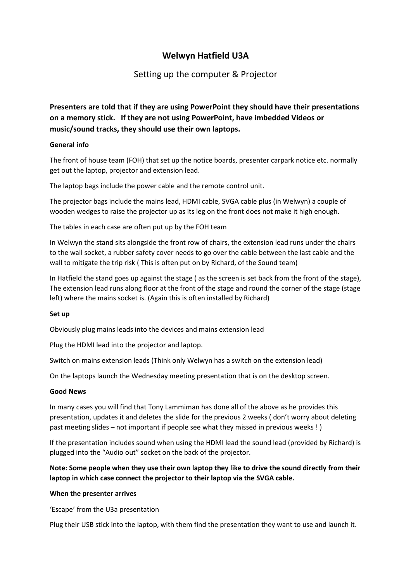# Welwyn Hatfield U3A

## Setting up the computer & Projector

Presenters are told that if they are using PowerPoint they should have their presentations on a memory stick. If they are not using PowerPoint, have imbedded Videos or music/sound tracks, they should use their own laptops.

### General info

The front of house team (FOH) that set up the notice boards, presenter carpark notice etc. normally get out the laptop, projector and extension lead.

The laptop bags include the power cable and the remote control unit.

The projector bags include the mains lead, HDMI cable, SVGA cable plus (in Welwyn) a couple of wooden wedges to raise the projector up as its leg on the front does not make it high enough.

The tables in each case are often put up by the FOH team

In Welwyn the stand sits alongside the front row of chairs, the extension lead runs under the chairs to the wall socket, a rubber safety cover needs to go over the cable between the last cable and the wall to mitigate the trip risk ( This is often put on by Richard, of the Sound team)

In Hatfield the stand goes up against the stage ( as the screen is set back from the front of the stage), The extension lead runs along floor at the front of the stage and round the corner of the stage (stage left) where the mains socket is. (Again this is often installed by Richard)

### Set up

Obviously plug mains leads into the devices and mains extension lead

Plug the HDMI lead into the projector and laptop.

Switch on mains extension leads (Think only Welwyn has a switch on the extension lead)

On the laptops launch the Wednesday meeting presentation that is on the desktop screen.

### Good News

In many cases you will find that Tony Lammiman has done all of the above as he provides this presentation, updates it and deletes the slide for the previous 2 weeks ( don't worry about deleting past meeting slides – not important if people see what they missed in previous weeks ! )

If the presentation includes sound when using the HDMI lead the sound lead (provided by Richard) is plugged into the "Audio out" socket on the back of the projector.

## Note: Some people when they use their own laptop they like to drive the sound directly from their laptop in which case connect the projector to their laptop via the SVGA cable.

### When the presenter arrives

'Escape' from the U3a presentation

Plug their USB stick into the laptop, with them find the presentation they want to use and launch it.